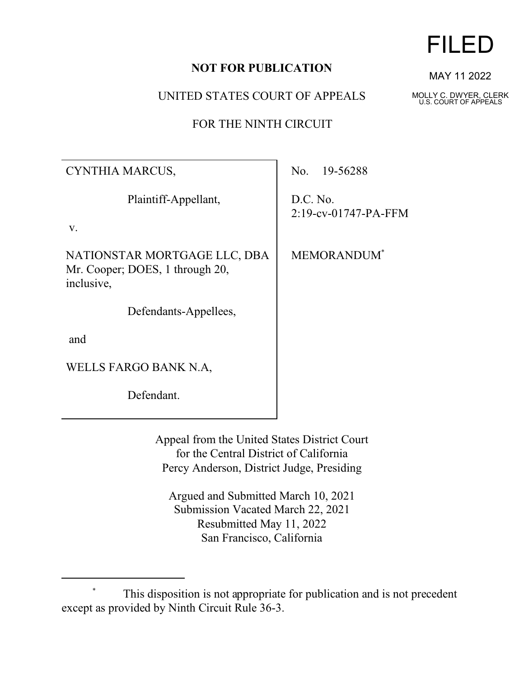## **NOT FOR PUBLICATION**

UNITED STATES COURT OF APPEALS

FOR THE NINTH CIRCUIT

| CYNTHIA MARCUS,                                                               | No. 19-56288                        |
|-------------------------------------------------------------------------------|-------------------------------------|
| Plaintiff-Appellant,                                                          | D.C. No.<br>$2:19$ -cv-01747-PA-FFM |
| V.                                                                            |                                     |
| NATIONSTAR MORTGAGE LLC, DBA<br>Mr. Cooper; DOES, 1 through 20,<br>inclusive, | MEMORANDUM*                         |
| Defendants-Appellees,                                                         |                                     |
| and                                                                           |                                     |
| WELLS FARGO BANK N.A,                                                         |                                     |
| Defendant.                                                                    |                                     |
|                                                                               |                                     |

Appeal from the United States District Court for the Central District of California Percy Anderson, District Judge, Presiding

Argued and Submitted March 10, 2021 Submission Vacated March 22, 2021 Resubmitted May 11, 2022 San Francisco, California

MAY 11 2022

FILED

MOLLY C. DWYER, CLERK U.S. COURT OF APPEALS

This disposition is not appropriate for publication and is not precedent except as provided by Ninth Circuit Rule 36-3.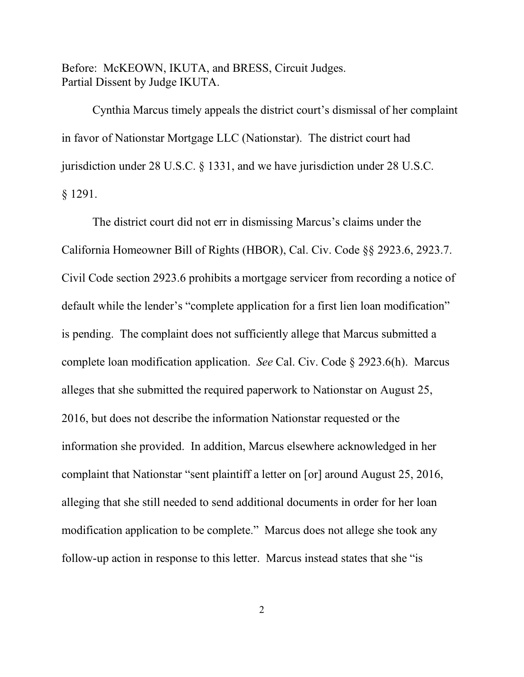Before: McKEOWN, IKUTA, and BRESS, Circuit Judges. Partial Dissent by Judge IKUTA.

Cynthia Marcus timely appeals the district court's dismissal of her complaint in favor of Nationstar Mortgage LLC (Nationstar). The district court had jurisdiction under 28 U.S.C. § 1331, and we have jurisdiction under 28 U.S.C. § 1291.

The district court did not err in dismissing Marcus's claims under the California Homeowner Bill of Rights (HBOR), Cal. Civ. Code §§ 2923.6, 2923.7. Civil Code section 2923.6 prohibits a mortgage servicer from recording a notice of default while the lender's "complete application for a first lien loan modification" is pending. The complaint does not sufficiently allege that Marcus submitted a complete loan modification application. *See* Cal. Civ. Code § 2923.6(h). Marcus alleges that she submitted the required paperwork to Nationstar on August 25, 2016, but does not describe the information Nationstar requested or the information she provided. In addition, Marcus elsewhere acknowledged in her complaint that Nationstar "sent plaintiff a letter on [or] around August 25, 2016, alleging that she still needed to send additional documents in order for her loan modification application to be complete." Marcus does not allege she took any follow-up action in response to this letter. Marcus instead states that she "is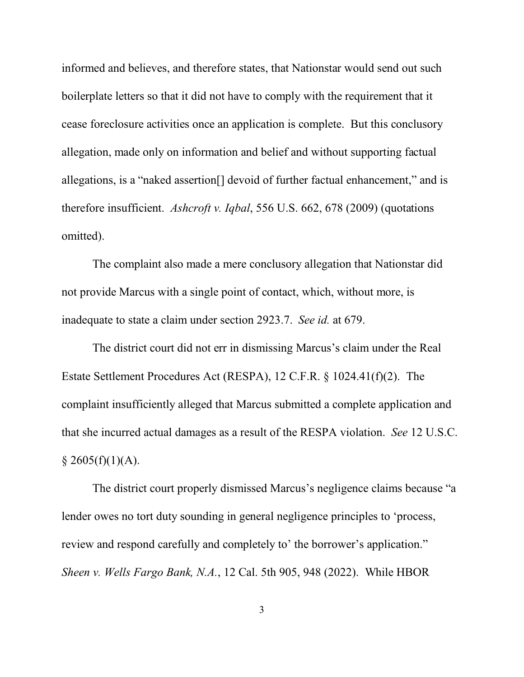informed and believes, and therefore states, that Nationstar would send out such boilerplate letters so that it did not have to comply with the requirement that it cease foreclosure activities once an application is complete. But this conclusory allegation, made only on information and belief and without supporting factual allegations, is a "naked assertion[] devoid of further factual enhancement," and is therefore insufficient. *Ashcroft v. Iqbal*, 556 U.S. 662, 678 (2009) (quotations omitted).

The complaint also made a mere conclusory allegation that Nationstar did not provide Marcus with a single point of contact, which, without more, is inadequate to state a claim under section 2923.7. *See id.* at 679.

The district court did not err in dismissing Marcus's claim under the Real Estate Settlement Procedures Act (RESPA), 12 C.F.R. § 1024.41(f)(2). The complaint insufficiently alleged that Marcus submitted a complete application and that she incurred actual damages as a result of the RESPA violation. *See* 12 U.S.C.  $$2605(f)(1)(A).$ 

The district court properly dismissed Marcus's negligence claims because "a lender owes no tort duty sounding in general negligence principles to 'process, review and respond carefully and completely to' the borrower's application." *Sheen v. Wells Fargo Bank, N.A.*, 12 Cal. 5th 905, 948 (2022). While HBOR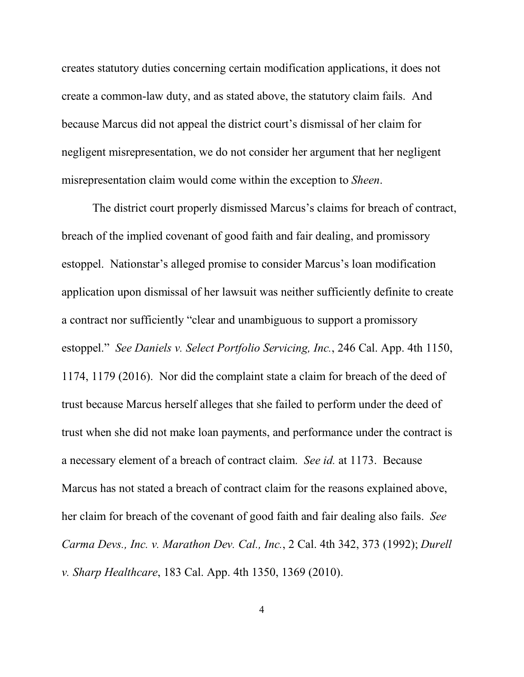creates statutory duties concerning certain modification applications, it does not create a common-law duty, and as stated above, the statutory claim fails. And because Marcus did not appeal the district court's dismissal of her claim for negligent misrepresentation, we do not consider her argument that her negligent misrepresentation claim would come within the exception to *Sheen*.

The district court properly dismissed Marcus's claims for breach of contract, breach of the implied covenant of good faith and fair dealing, and promissory estoppel. Nationstar's alleged promise to consider Marcus's loan modification application upon dismissal of her lawsuit was neither sufficiently definite to create a contract nor sufficiently "clear and unambiguous to support a promissory estoppel." *See Daniels v. Select Portfolio Servicing, Inc.*, 246 Cal. App. 4th 1150, 1174, 1179 (2016). Nor did the complaint state a claim for breach of the deed of trust because Marcus herself alleges that she failed to perform under the deed of trust when she did not make loan payments, and performance under the contract is a necessary element of a breach of contract claim. *See id.* at 1173. Because Marcus has not stated a breach of contract claim for the reasons explained above, her claim for breach of the covenant of good faith and fair dealing also fails. *See Carma Devs., Inc. v. Marathon Dev. Cal., Inc.*, 2 Cal. 4th 342, 373 (1992); *Durell v. Sharp Healthcare*, 183 Cal. App. 4th 1350, 1369 (2010).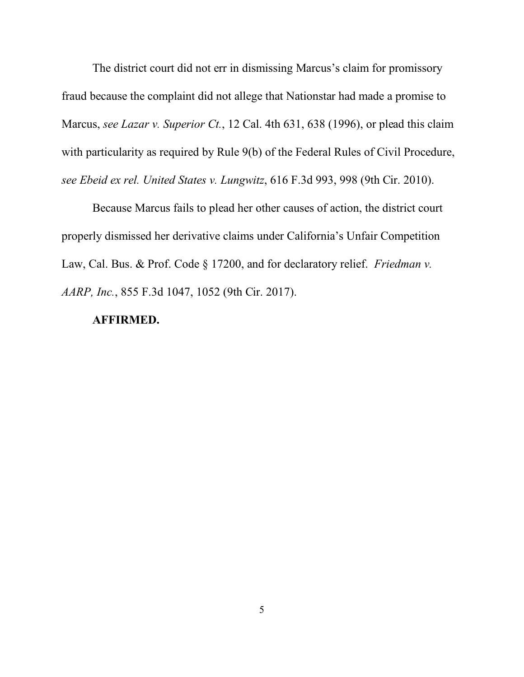The district court did not err in dismissing Marcus's claim for promissory fraud because the complaint did not allege that Nationstar had made a promise to Marcus, *see Lazar v. Superior Ct.*, 12 Cal. 4th 631, 638 (1996), or plead this claim with particularity as required by Rule 9(b) of the Federal Rules of Civil Procedure, *see Ebeid ex rel. United States v. Lungwitz*, 616 F.3d 993, 998 (9th Cir. 2010).

Because Marcus fails to plead her other causes of action, the district court properly dismissed her derivative claims under California's Unfair Competition Law, Cal. Bus. & Prof. Code § 17200, and for declaratory relief. *Friedman v. AARP, Inc.*, 855 F.3d 1047, 1052 (9th Cir. 2017).

## **AFFIRMED.**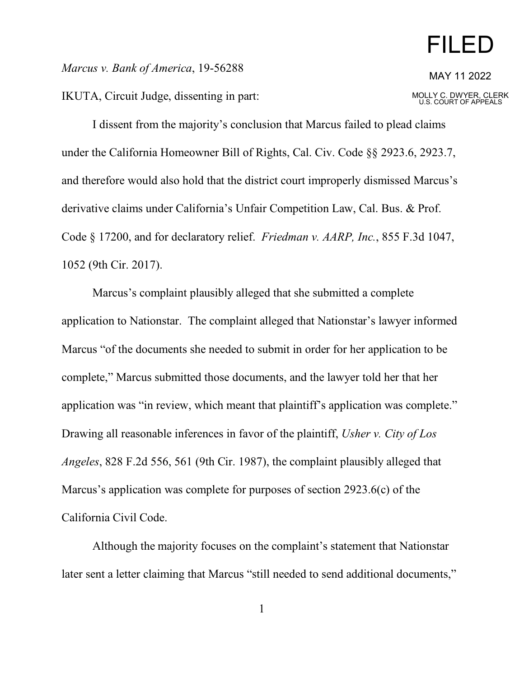## FILED

*Marcus v. Bank of America*, 19-56288

IKUTA, Circuit Judge, dissenting in part:

MOLLY C. DWYER, CLERK U.S. COURT OF APPEALS

I dissent from the majority's conclusion that Marcus failed to plead claims under the California Homeowner Bill of Rights, Cal. Civ. Code §§ 2923.6, 2923.7, and therefore would also hold that the district court improperly dismissed Marcus's derivative claims under California's Unfair Competition Law, Cal. Bus. & Prof. Code § 17200, and for declaratory relief. *Friedman v. AARP, Inc.*, 855 F.3d 1047, 1052 (9th Cir. 2017).

Marcus's complaint plausibly alleged that she submitted a complete application to Nationstar. The complaint alleged that Nationstar's lawyer informed Marcus "of the documents she needed to submit in order for her application to be complete," Marcus submitted those documents, and the lawyer told her that her application was "in review, which meant that plaintiff's application was complete." Drawing all reasonable inferences in favor of the plaintiff, *Usher v. City of Los Angeles*, 828 F.2d 556, 561 (9th Cir. 1987), the complaint plausibly alleged that Marcus's application was complete for purposes of section 2923.6(c) of the California Civil Code.

Although the majority focuses on the complaint's statement that Nationstar later sent a letter claiming that Marcus "still needed to send additional documents,"